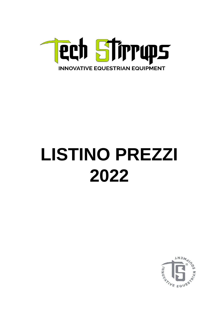

## **LISTINO PREZZI** 2022

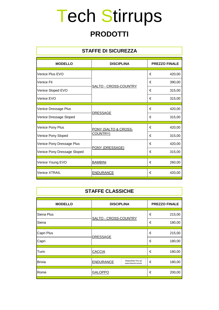## Tech Stirrups

#### **PRODOTTI**

| <b>STAFFE DI SICUREZZA</b>  |                       |                      |        |
|-----------------------------|-----------------------|----------------------|--------|
| <b>MODELLO</b>              | <b>DISCIPLINA</b>     | <b>PREZZO FINALE</b> |        |
| Venice Plus EVO             |                       | €                    | 420,00 |
| <b>Venice Fit</b>           |                       | €                    | 390,00 |
| Venice Sloped EVO           | SALTO - CROSS-COUNTRY | €                    | 315,00 |
| Venice EVO                  |                       | €                    | 315,00 |
| Venice Dressage Plus        | <b>DRESSAGE</b>       | €                    | 420,00 |
| Venice Dressage Sloped      |                       | €                    | 315,00 |
| Venice Pony Plus            | PONY (SALTO & CROSS-  | €                    | 420,00 |
| Venice Pony Sloped          | COUNTRY)              | €                    | 315,00 |
| Venice Pony Dressage Plus   | PONY (DRESSAGE)       | €                    | 420,00 |
| Venice Pony Dressage Sloped |                       | €                    | 315,00 |
| Venice Young EVO            | <b>BAMBINI</b>        | €                    | 260,00 |
| Venice XTRAIL               | <b>ENDURANCE</b>      | €                    | 420,00 |

| <b>STAFFE CLASSICHE</b> |                                           |                                           |   |        |
|-------------------------|-------------------------------------------|-------------------------------------------|---|--------|
| <b>MODELLO</b>          | <b>DISCIPLINA</b><br><b>PREZZO FINALE</b> |                                           |   |        |
| Siena Plus              | SALTO - CROSS-COUNTRY                     |                                           | € | 215,00 |
| Siena                   |                                           |                                           | € | 180,00 |
| Capri Plus              | <b>DRESSAGE</b>                           |                                           | € | 215,00 |
| Capri                   |                                           |                                           | € | 180,00 |
| Turin                   | <b>CACCIA</b>                             |                                           | € | 180,00 |
| <b>Brixia</b>           | <b>ENDURANCE</b>                          | Disponibile fino ad<br>esaurimento scorte | € | 180,00 |
| Rome                    | <b>GALOPPO</b>                            |                                           | € | 200,00 |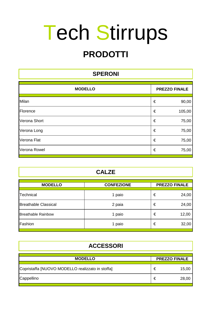# Tech Stirrups

### **PRODOTTI**

| <b>SPERONI</b>                         |   |        |  |
|----------------------------------------|---|--------|--|
| <b>MODELLO</b><br><b>PREZZO FINALE</b> |   |        |  |
| Milan                                  | € | 90,00  |  |
| Florence                               | € | 105,00 |  |
| Verona Short                           | € | 75,00  |  |
| Verona Long                            | € | 75,00  |  |
| Verona Flat                            | € | 75,00  |  |
| Verona Rowel                           | € | 75,00  |  |

| <b>MODELLO</b>              | <b>CONFEZIONE</b> |   | <b>PREZZO FINALE</b> |
|-----------------------------|-------------------|---|----------------------|
| <b>Technical</b>            | 1 paio            | € | 24,00                |
| <b>Breathable Classical</b> | 2 paia            | € | 24,00                |
| <b>Breathable Rainbow</b>   | 1 paio            | € | 12,00                |
| Fashion                     | 1 paio            | € | 32,00                |

| <b>ACCESSORI</b>                                 |   |                      |  |
|--------------------------------------------------|---|----------------------|--|
| <b>MODELLO</b>                                   |   | <b>PREZZO FINALE</b> |  |
| Copristaffa [NUOVO MODELLO realizzato in stoffa] | € | 15,00                |  |
| Cappellino                                       | € | 28,00                |  |